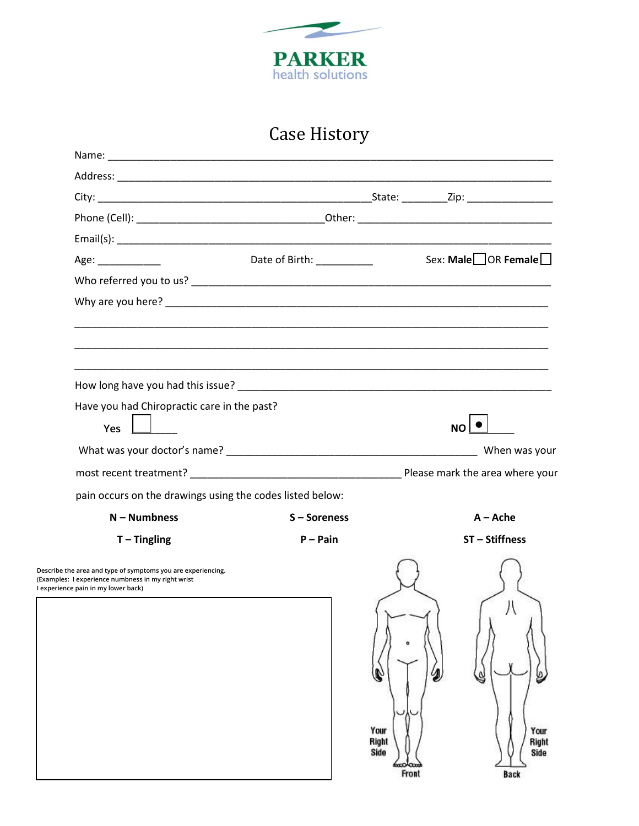

## Case History

|                                                           |   | Sex: Male OR Female                                                                                                                                                                                                                                        |
|-----------------------------------------------------------|---|------------------------------------------------------------------------------------------------------------------------------------------------------------------------------------------------------------------------------------------------------------|
|                                                           |   |                                                                                                                                                                                                                                                            |
|                                                           |   |                                                                                                                                                                                                                                                            |
|                                                           |   |                                                                                                                                                                                                                                                            |
|                                                           |   |                                                                                                                                                                                                                                                            |
|                                                           |   |                                                                                                                                                                                                                                                            |
| Have you had Chiropractic care in the past?               |   |                                                                                                                                                                                                                                                            |
|                                                           |   | $NO$ $ $                                                                                                                                                                                                                                                   |
|                                                           |   | When was your                                                                                                                                                                                                                                              |
|                                                           |   |                                                                                                                                                                                                                                                            |
| pain occurs on the drawings using the codes listed below: |   |                                                                                                                                                                                                                                                            |
| S-Soreness                                                |   | $A -$ Ache                                                                                                                                                                                                                                                 |
| $P - Pain$                                                |   | ST-Stiffness                                                                                                                                                                                                                                               |
|                                                           |   |                                                                                                                                                                                                                                                            |
|                                                           | J | S                                                                                                                                                                                                                                                          |
|                                                           |   | Date of Birth: __________<br>How long have you had this issue? Notifiantly applicable to the control of the control of the control of the control of the control of the control of the control of the control of the control of the control of the control |